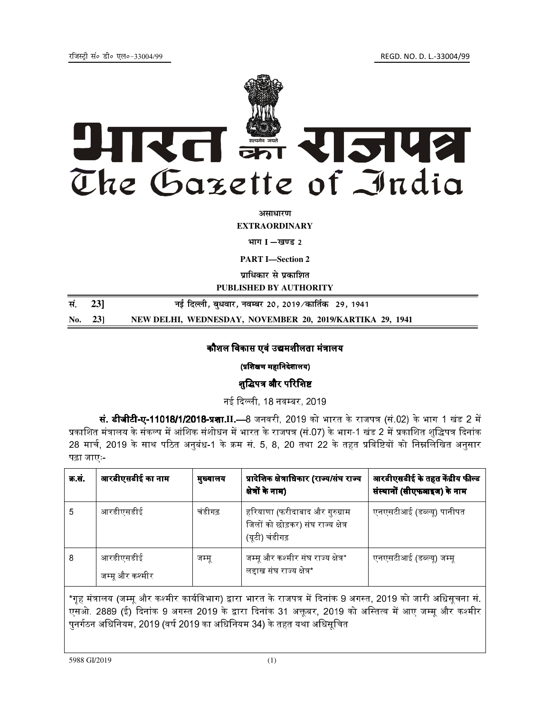

असाधारण

**EXTRAORDINARY** 

#### भाग I -खण्ड 2

**PART I**-Section 2

पाधिकार से पकाशित

PUBLISHED BY AUTHORITY

| सं. 23] | नई दिल्ली, बुधवार, नवम्बर 20, 2019 ∕कार्तिक   29, 1941   |
|---------|----------------------------------------------------------|
| No. 231 | NEW DELHI, WEDNESDAY, NOVEMBER 20, 2019/KARTIKA 29, 1941 |

## कौशल विकास एवं उद्यमशीलता मंत्रालय

#### (प्रशिक्षण महानिदेशालय)

#### शद्धिपत्र और परिशिष्ट

नई दिल्ली, 18 नवम्बर, 2019

**सं. डीजीटी-ए-11018/1/2018-प्रशा II.—**8 जनवरी, 2019 को भारत के राजपत्र (सं.02) के भाग 1 खंड 2 में प्रकाशित मंत्रालय के संकल्प में आंशिक संशोधन में भारत के राजपत्र (सं.07) के भाग-1 खंड 2 में प्रकाशित शद्धिपत्र दिनांक 28 मार्च, 2019 के साथ पठित अनुबंध-1 के क्रम सं. 5, 8, 20 तथा 22 के तहत प्रविष्टियों को निम्नलिखित अनुसार पढ़ा जाएः-

| क्र सं | आरडीएसडीई का नाम             | मुख्यालय | प्रादेशिक क्षेत्राधिकार (राज्य/संघ राज्य<br>क्षेत्रों के नाम)                          | आरडीएसडीई के तहत केंद्रीय फील्ड<br>संस्थानों (सीएफआइज) के नाम |
|--------|------------------------------|----------|----------------------------------------------------------------------------------------|---------------------------------------------------------------|
| 5      | आरडीएसडीई                    | चंडीगढ़  | हरियाणा (फरीदाबाद और गुरुग्राम<br>जिलों को छोड़कर) संघ राज्य क्षेत्र<br>(यूटी) चंडीगढ़ | एनएसटीआई (डब्ल्यू) पानीपत                                     |
| 8      | आरडीएसडीई<br>जम्मू और कश्मीर | जम्मू    | जम्मू और कश्मीर संघ राज्य क्षेत्र*<br>लद्दाख संघ राज्य क्षेत्र*                        | एनएसटीआई (डब्ल्यू) जम्मू                                      |

\*गृह मंत्रालय (जम्मू और कश्मीर कार्यविभाग) द्वारा भारत के राजपत्र में दिनांक 9 अगस्त, 2019 को जारी अधिसूचना सं एसओ. 2889 (ई) दिनांक 9 अगस्त 2019 के द्वारा दिनांक 31 अक्तूबर, 2019 को अस्तित्व में आए जम्मू और कश्मीर पुनर्गठन अधिनियम, 2019 (वर्ष 2019 का अधिनियम 34) के तहत यथा अधिसूचित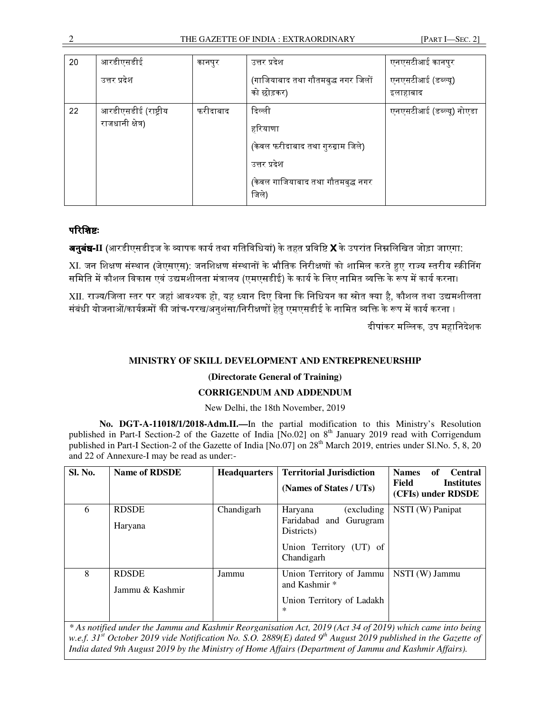| 20 | आरडीएसडीई                                | कानपुर   | उत्तर प्रदेश                                                                                                          | एनएसटीआई कानपुर                |
|----|------------------------------------------|----------|-----------------------------------------------------------------------------------------------------------------------|--------------------------------|
|    | उत्तर प्रदेश                             |          | (गाजियाबाद तथा गौतमबुद्ध नगर जिलों<br>को छोड़कर)                                                                      | एनएसटीआई (डब्ल्यू)<br>इलाहाबाद |
| 22 | आरडीएसडीई (राष्ट्रीय<br>राजधानी क्षेत्र) | फरीदाबाद | दिल्ली<br>हरियाणा<br>(केवल फरीदाबाद तथा गुरुग्राम जिले)<br>उत्तर प्रदेश<br>(केवल गाजियाबाद तथा गौतमबुद्ध नगर<br>जिले) | एनएसटीआई (डब्ल्यू) नोएडा       |

# परिशिष्ट:

**अनुबंध-II** (आरडीएसडीइज के व्यापक कार्य तथा गतिविधियां) के तहत प्रविष्टि **X** के उपरांत निम्नलिखित जोड़ा जाएगा:

 $X$ I. जन शिक्षण संस्थान (जेएसएस): जनशिक्षण संस्थानों के भौतिक निरीक्षणों को शामिल करते हुए राज्य स्तरीय स्क्रीनिंग समिति में कौशल विकास एवं उद्यमशीलता मंत्रालय (एमएसडीई) के कार्य के लिए नामित व्यक्ति के रूप में कार्य करना।

XII. राज्य/जिला स्तर पर जहां आवश्यक हो, यह ध्यान दिए बिना कि निधियन का स्रोत क्या है, कौशल तथा उद्यमशीलता संबंधी योजनाओं/कार्यक्रमों की जांच-परख/अनशंसा/निरीक्षणों हेत एमएसडीई के नामित व्यक्ति के रूप में कार्य करना ।

दीपांकर मल्लिक, उप महानिदेशक

## **MINISTRY OF SKILL DEVELOPMENT AND ENTREPRENEURSHIP**

## **(Directorate General of Training)**

## **CORRIGENDUM AND ADDENDUM**

#### New Delhi, the 18th November, 2019

**No. DGT-A-11018/1/2018-Adm.II.—**In the partial modification to this Ministry's Resolution published in Part-I Section-2 of the Gazette of India [No.02] on 8<sup>th</sup> January 2019 read with Corrigendum published in Part-I Section-2 of the Gazette of India [No.07] on 28<sup>th</sup> March 2019, entries under Sl.No. 5, 8, 20 and 22 of Annexure-I may be read as under:-

| <b>Sl. No.</b> | <b>Name of RDSDE</b>            |            | <b>Headquarters   Territorial Jurisdiction</b><br>(Names of States / UTs)                               | <b>Names</b><br>of<br><b>Central</b><br>Field<br><b>Institutes</b><br>(CFIs) under RDSDE |
|----------------|---------------------------------|------------|---------------------------------------------------------------------------------------------------------|------------------------------------------------------------------------------------------|
| 6              | <b>RDSDE</b><br>Haryana         | Chandigarh | (excluding)<br>Haryana<br>Faridabad and Gurugram<br>Districts)<br>Union Territory (UT) of<br>Chandigarh | NSTI (W) Panipat                                                                         |
| 8              | <b>RDSDE</b><br>Jammu & Kashmir | Jammu      | Union Territory of Jammu<br>and Kashmir <sup>*</sup><br>Union Territory of Ladakh<br>*                  | NSTI (W) Jammu                                                                           |

*\* As notified under the Jammu and Kashmir Reorganisation Act, 2019 (Act 34 of 2019) which came into being w.e.f. 31st October 2019 vide Notification No. S.O. 2889(E) dated 9th August 2019 published in the Gazette of India dated 9th August 2019 by the Ministry of Home Affairs (Department of Jammu and Kashmir Affairs).*